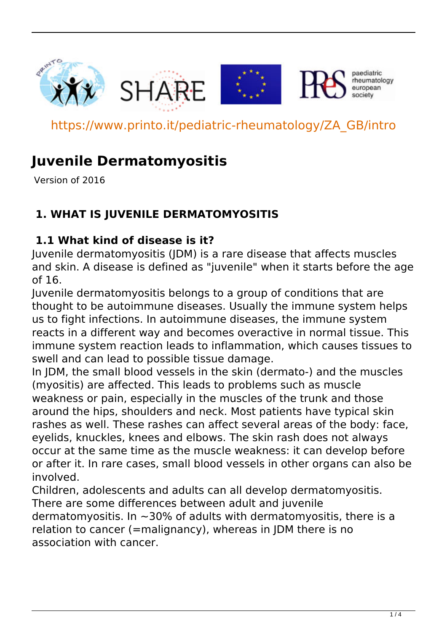







paediatric rheumatology european

https://www.printo.it/pediatric-rheumatology/ZA\_GB/intro

# **Juvenile Dermatomyositis**

Version of 2016

## **1. WHAT IS JUVENILE DERMATOMYOSITIS**

## **1.1 What kind of disease is it?**

Juvenile dermatomyositis (JDM) is a rare disease that affects muscles and skin. A disease is defined as "juvenile" when it starts before the age of 16.

Juvenile dermatomyositis belongs to a group of conditions that are thought to be autoimmune diseases. Usually the immune system helps us to fight infections. In autoimmune diseases, the immune system reacts in a different way and becomes overactive in normal tissue. This immune system reaction leads to inflammation, which causes tissues to swell and can lead to possible tissue damage.

In JDM, the small blood vessels in the skin (dermato-) and the muscles (myositis) are affected. This leads to problems such as muscle weakness or pain, especially in the muscles of the trunk and those around the hips, shoulders and neck. Most patients have typical skin rashes as well. These rashes can affect several areas of the body: face, eyelids, knuckles, knees and elbows. The skin rash does not always occur at the same time as the muscle weakness: it can develop before or after it. In rare cases, small blood vessels in other organs can also be involved.

Children, adolescents and adults can all develop dermatomyositis. There are some differences between adult and juvenile dermatomyositis. In  $\sim$ 30% of adults with dermatomyositis, there is a relation to cancer (=malignancy), whereas in JDM there is no association with cancer.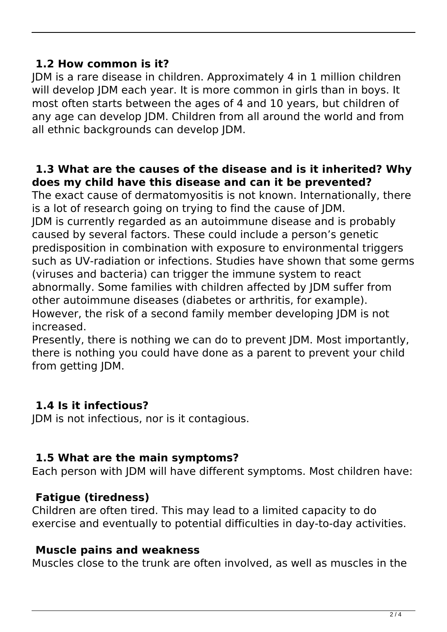#### **1.2 How common is it?**

JDM is a rare disease in children. Approximately 4 in 1 million children will develop JDM each year. It is more common in girls than in boys. It most often starts between the ages of 4 and 10 years, but children of any age can develop JDM. Children from all around the world and from all ethnic backgrounds can develop JDM.

#### **1.3 What are the causes of the disease and is it inherited? Why does my child have this disease and can it be prevented?**

The exact cause of dermatomyositis is not known. Internationally, there is a lot of research going on trying to find the cause of JDM. JDM is currently regarded as an autoimmune disease and is probably caused by several factors. These could include a person's genetic predisposition in combination with exposure to environmental triggers such as UV-radiation or infections. Studies have shown that some germs (viruses and bacteria) can trigger the immune system to react abnormally. Some families with children affected by JDM suffer from other autoimmune diseases (diabetes or arthritis, for example). However, the risk of a second family member developing JDM is not increased.

Presently, there is nothing we can do to prevent JDM. Most importantly, there is nothing you could have done as a parent to prevent your child from getting JDM.

#### **1.4 Is it infectious?**

JDM is not infectious, nor is it contagious.

#### **1.5 What are the main symptoms?**

Each person with JDM will have different symptoms. Most children have:

#### **Fatigue (tiredness)**

Children are often tired. This may lead to a limited capacity to do exercise and eventually to potential difficulties in day-to-day activities.

#### **Muscle pains and weakness**

Muscles close to the trunk are often involved, as well as muscles in the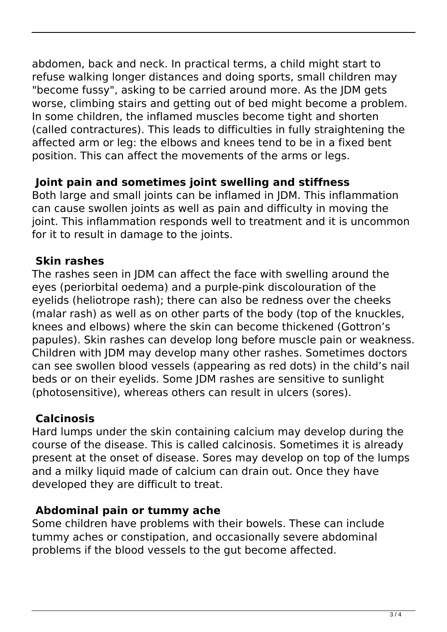abdomen, back and neck. In practical terms, a child might start to refuse walking longer distances and doing sports, small children may "become fussy", asking to be carried around more. As the JDM gets worse, climbing stairs and getting out of bed might become a problem. In some children, the inflamed muscles become tight and shorten (called contractures). This leads to difficulties in fully straightening the affected arm or leg: the elbows and knees tend to be in a fixed bent position. This can affect the movements of the arms or legs.

## **Joint pain and sometimes joint swelling and stiffness**

Both large and small joints can be inflamed in JDM. This inflammation can cause swollen joints as well as pain and difficulty in moving the joint. This inflammation responds well to treatment and it is uncommon for it to result in damage to the joints.

## **Skin rashes**

The rashes seen in JDM can affect the face with swelling around the eyes (periorbital oedema) and a purple-pink discolouration of the eyelids (heliotrope rash); there can also be redness over the cheeks (malar rash) as well as on other parts of the body (top of the knuckles, knees and elbows) where the skin can become thickened (Gottron's papules). Skin rashes can develop long before muscle pain or weakness. Children with JDM may develop many other rashes. Sometimes doctors can see swollen blood vessels (appearing as red dots) in the child's nail beds or on their eyelids. Some JDM rashes are sensitive to sunlight (photosensitive), whereas others can result in ulcers (sores).

## **Calcinosis**

Hard lumps under the skin containing calcium may develop during the course of the disease. This is called calcinosis. Sometimes it is already present at the onset of disease. Sores may develop on top of the lumps and a milky liquid made of calcium can drain out. Once they have developed they are difficult to treat.

## **Abdominal pain or tummy ache**

Some children have problems with their bowels. These can include tummy aches or constipation, and occasionally severe abdominal problems if the blood vessels to the gut become affected.